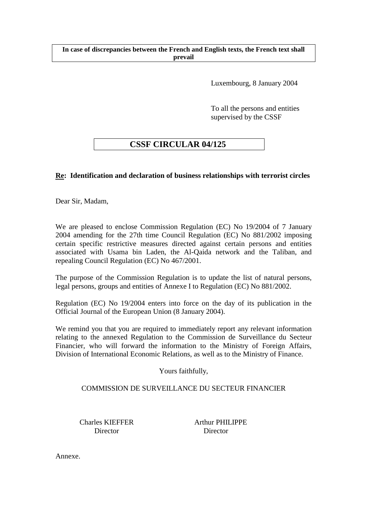### **In case of discrepancies between the French and English texts, the French text shall prevail**

Luxembourg, 8 January 2004

To all the persons and entities supervised by the CSSF

# **CSSF CIRCULAR 04/125**

# **Re: Identification and declaration of business relationships with terrorist circles**

Dear Sir, Madam,

We are pleased to enclose Commission Regulation (EC) No 19/2004 of 7 January 2004 amending for the 27th time Council Regulation (EC) No 881/2002 imposing certain specific restrictive measures directed against certain persons and entities associated with Usama bin Laden, the Al-Qaida network and the Taliban, and repealing Council Regulation (EC) No 467/2001.

The purpose of the Commission Regulation is to update the list of natural persons, legal persons, groups and entities of Annexe I to Regulation (EC) No 881/2002.

Regulation (EC) No 19/2004 enters into force on the day of its publication in the Official Journal of the European Union (8 January 2004).

We remind you that you are required to immediately report any relevant information relating to the annexed Regulation to the Commission de Surveillance du Secteur Financier, who will forward the information to the Ministry of Foreign Affairs, Division of International Economic Relations, as well as to the Ministry of Finance.

Yours faithfully,

## COMMISSION DE SURVEILLANCE DU SECTEUR FINANCIER

Charles KIEFFER Arthur PHILIPPE Director Director

Annexe.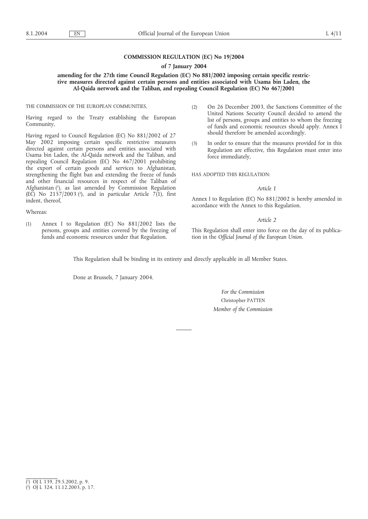### **COMMISSION REGULATION (EC) No 19/2004**

#### **of 7 January 2004**

### **amending for the 27th time Council Regulation (EC) No 881/2002 imposing certain specific restrictive measures directed against certain persons and entities associated with Usama bin Laden, the Al-Qaida network and the Taliban, and repealing Council Regulation (EC) No 467/2001**

THE COMMISSION OF THE EUROPEAN COMMUNITIES,

Having regard to the Treaty establishing the European Community,

Having regard to Council Regulation (EC) No 881/2002 of 27 May 2002 imposing certain specific restrictive measures directed against certain persons and entities associated with Usama bin Laden, the Al-Qaida network and the Taliban, and repealing Council Regulation (EC) No 467/2001 prohibiting the export of certain goods and services to Afghanistan, strengthening the flight ban and extending the freeze of funds and other financial resources in respect of the Taliban of Afghanistan (1), as last amended by Commission Regulation (EC) No  $2157/2003$  ( $^2$ ), and in particular Article 7(1), first indent, thereof,

Whereas:

(1) Annex I to Regulation (EC) No 881/2002 lists the persons, groups and entities covered by the freezing of funds and economic resources under that Regulation.

- (2) On 26 December 2003, the Sanctions Committee of the United Nations Security Council decided to amend the list of persons, groups and entities to whom the freezing of funds and economic resources should apply. Annex I should therefore be amended accordingly.
- (3) In order to ensure that the measures provided for in this Regulation are effective, this Regulation must enter into force immediately,

HAS ADOPTED THIS REGULATION:

#### *Article 1*

Annex I to Regulation (EC) No 881/2002 is hereby amended in accordance with the Annex to this Regulation.

#### *Article 2*

This Regulation shall enter into force on the day of its publication in the *Official Journal of the European Union*.

This Regulation shall be binding in its entirety and directly applicable in all Member States.

Done at Brussels, 7 January 2004.

*For the Commission* Christopher PATTEN *Member of the Commission*

<sup>(</sup> 1 ) OJ L 139, 29.5.2002, p. 9.

<sup>(</sup> 2 ) OJ L 324, 11.12.2003, p. 17.